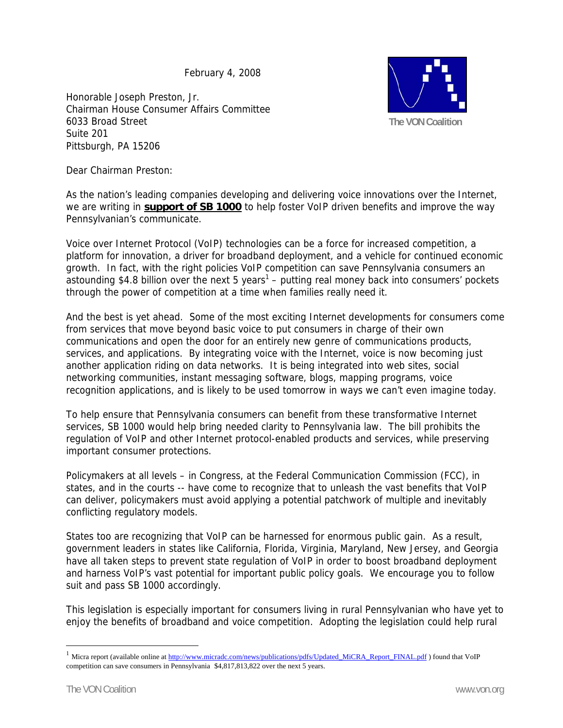February 4, 2008

Honorable Joseph Preston, Jr. Chairman House Consumer Affairs Committee 6033 Broad Street Suite 201 Pittsburgh, PA 15206



Dear Chairman Preston:

As the nation's leading companies developing and delivering voice innovations over the Internet, we are writing in **support of SB 1000** to help foster VoIP driven benefits and improve the way Pennsylvanian's communicate.

Voice over Internet Protocol (VoIP) technologies can be a force for increased competition, a platform for innovation, a driver for broadband deployment, and a vehicle for continued economic growth. In fact, with the right policies VoIP competition can save Pennsylvania consumers an astounding \$4.8 billion over the next 5 years<sup>1</sup> – putting real money back into consumers' pockets through the power of competition at a time when families really need it.

And the best is yet ahead. Some of the most exciting Internet developments for consumers come from services that move beyond basic voice to put consumers in charge of their own communications and open the door for an entirely new genre of communications products, services, and applications. By integrating voice with the Internet, voice is now becoming just another application riding on data networks. It is being integrated into web sites, social networking communities, instant messaging software, blogs, mapping programs, voice recognition applications, and is likely to be used tomorrow in ways we can't even imagine today.

To help ensure that Pennsylvania consumers can benefit from these transformative Internet services, SB 1000 would help bring needed clarity to Pennsylvania law. The bill prohibits the regulation of VoIP and other Internet protocol-enabled products and services, while preserving important consumer protections.

Policymakers at all levels – in Congress, at the Federal Communication Commission (FCC), in states, and in the courts -- have come to recognize that to unleash the vast benefits that VoIP can deliver, policymakers must avoid applying a potential patchwork of multiple and inevitably conflicting regulatory models.

States too are recognizing that VoIP can be harnessed for enormous public gain. As a result, government leaders in states like California, Florida, Virginia, Maryland, New Jersey, and Georgia have all taken steps to prevent state regulation of VoIP in order to boost broadband deployment and harness VoIP's vast potential for important public policy goals. We encourage you to follow suit and pass SB 1000 accordingly.

This legislation is especially important for consumers living in rural Pennsylvanian who have yet to enjoy the benefits of broadband and voice competition. Adopting the legislation could help rural

 $\overline{a}$ 

<sup>&</sup>lt;sup>1</sup> Micra report (available online at http://www.micradc.com/news/publications/pdfs/Updated\_MiCRA\_Report\_FINAL.pdf) found that VoIP competition can save consumers in Pennsylvania \$4,817,813,822 over the next 5 years.